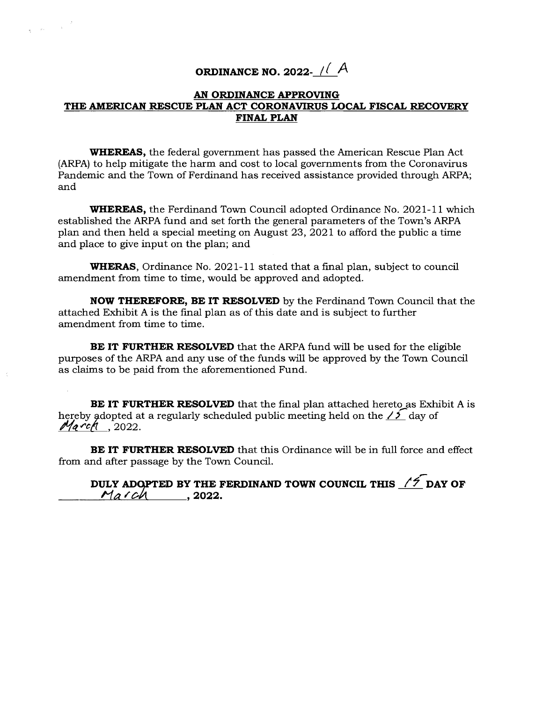## **ORDINANCE NO. 2022-** */( <sup>A</sup>*

 $\label{eq:expansion} \frac{1}{\mathcal{R}} = \left( \mathcal{R}^2 \right)^{-1} \left( \frac{1}{\mathcal{R}} \right)^{-1}$ 

## **AN ORDINANCE APPROVING**  THE AMERICAN RESCUE PLAN ACT CORONAVIRUS LOCAL FISCAL RECOVERY **FINAL PLAN**

**WHEREAS,** the federal government has passed the American Rescue Plan Act (ARPA) to help mitigate the harm and cost to local governments from the Coronavirus Pandemic and the Town of Ferdinand has received assistance provided through ARPA; and

**WHEREAS,** the Ferdinand Town Council adopted Ordinance No. 2021-11 which established the ARPA fund and set forth the general parameters of the Town's ARPA plan and then held a special meeting on August 23, 2021 to afford the public a time and place to give input on the plan; and

**WHERAS,** Ordinance No. 2021-11 stated that a final plan, subject to council amendment from time to time, would be approved and adopted.

**NOW THEREFORE, BE IT RESOLVED** by the Ferdinand Town Council that the attached Exhibit A is the final plan as of this date and is subject to further amendment from time to time.

**BE IT FURTHER RESOLVED** that the ARPA fund will be used for the eligible purposes of the ARPA and any use of the funds will be approved by the Town Council as claims to be paid from the aforementioned Fund.

**BE IT FURTHER RESOLVED** that the final plan attached hereto as Exhibit A is hereby adopted at a regularly scheduled public meeting held on the  $\frac{\sqrt{5}}{4}$  day of  $M$ <sub>a</sub> $r$ ch<sub>1</sub>, 2022.

**BE IT FURTHER RESOLVED** that this Ordinance will be in full force and effect from and after passage by the Town Council.

DULY ADOPTED BY THE FERDINAND TOWN COUNCIL THIS  $\sqrt{2}$  DAY OF *March* , 2022.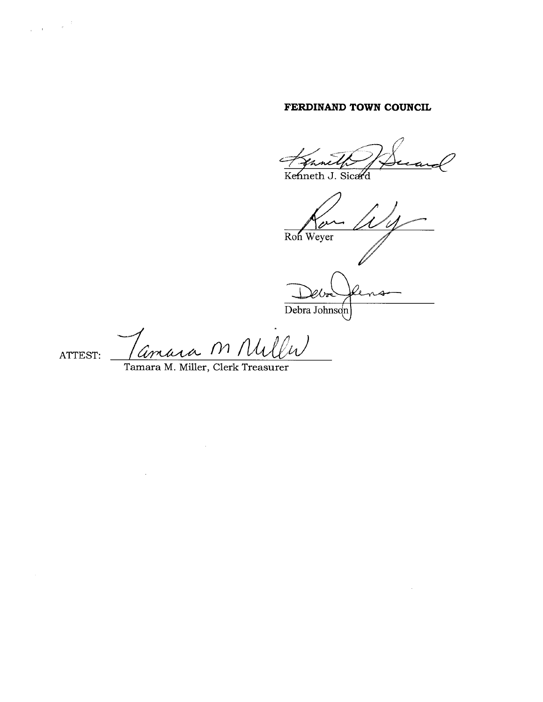## **FERDINAND TOWN COUNCIL**

Kenneth J. Sicard

 $\sim$ Ron Weyer

Debra Johnson

 $\sim 10^{-1}$ 

<u>M Nullu</u> 1M ATTEST:

 $\mathcal{L}^{\text{max}}_{\text{max}}$  and  $\mathcal{L}^{\text{max}}_{\text{max}}$ 

Tamara M. Miller, Clerk Treasurer

 $\sim 400$ 

 $\label{eq:3.1} \frac{1}{\lambda_{\rm{max}}}\left(\frac{1}{\lambda_{\rm{max}}}\right)^{1/2} \left(\frac{1}{\lambda_{\rm{max}}}\right)^{1/2}$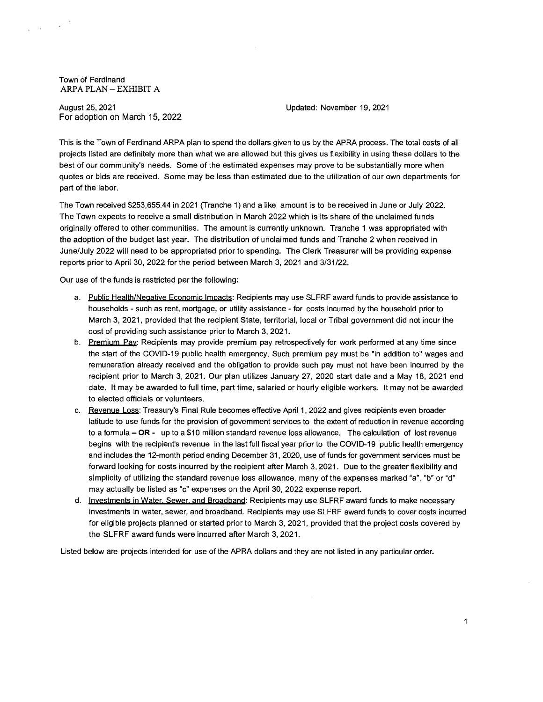Town of Ferdinand ARPA PLAN — EXHIBIT A

August 25, 2021 Updated: November 19, 2021 For adoption on March 15, 2022

This is the Town of Ferdinand ARPA plan to spend the dollars given to us by the APRA process. The total costs of all projects listed are definitely more than what we are allowed but this gives us flexibility in using these dollars to the best of our community's needs. Some of the estimated expenses may prove to be substantially more when quotes or bids are received. Some may be less than estinnated due to the utilization of our own departments for part of the labor.

The Town received \$253,655.44 in 2021 (Tranche 1) and a like amount is to be received in June or July 2022. The Town expects to receive a small distribution in March 2022 which is its share of the unclaimed funds originally offered to other communities. The amount is currently unknown. Tranche 1 was appropriated with the adoption of the budget last year. The distribution of unclaimed funds and Tranche 2 when received in June/July 2022 will need to be appropriated prior to spending. The Clerk Treasurer will be providíng expense reports prior to April 30, 2022 for the period between March 3, 2021 and 3/31/22.

Our use of the funds is restricted per the following:

- a. Public Health/Negative Economic Impacts: Recipients may use SLFRF award funds to provide assistance to households - such as rent, mortgage, or utility assistance - for costs incurred by the household prior to March 3, 2021, provided that the recipient State, territorial, local or Tribal government did not incur the cost of providing such assistance prior to March 3, 2021.
- b. Premium Pay: Recipients may provide premium pay retrospectively for work performed at any time since the start of the COVID-19 public health emergency. Such premium pay must be "in addition to" wages and remuneration already received and the obligation to provide such pay must not have been incurred by the recipient prior to March 3, 2021. Our plan utilizes January 27, 2020 start date and a May 18, 2021 end date. lt may be awarded to full time, part time, salaried or hourly eligible workers. lt may not be awarded to elected officials or volunteers.
- c. Revenue Loss: Treasury's Final Rule becomes effective April 1, 2022 and gives recipients even broader latitude to use funds for the provision of govemment services to the extent of reduction in revenue according to a formula — **OR -** up to a \$10 nnillion standard revenue loss allowance. The calculation of lost revenue begins with the recipient's revenue in the last full fiscal year prior to the COVID-19 public health emergency and includes the 12-month period ending December 31, 2020, use of funds for government services must be forward looking for costs incurred by the recipient after March 3, 2021. Due to the greater flexibility and simplicity of utilizing the standard revenue loss allowance, many of the expenses marked "a", "b" or "d" may actually be listed as "c" expenses on the April 30, 2022 expense report.
- d. Investments in Water. Sewer. and Broadband: Recipients may use SLFRF award funds to make necessary investments in water, sewer, and broadband. Recipients may use SLFRF award funds to cover costs incurred for eligible projects planned or started prior to March 3, 2021, provided that the project costs covered by the SLFRF award funds were incurred after March 3, 2021.

Listed below are projects intended for use of the APRA dollars and they are not listed in any particular order.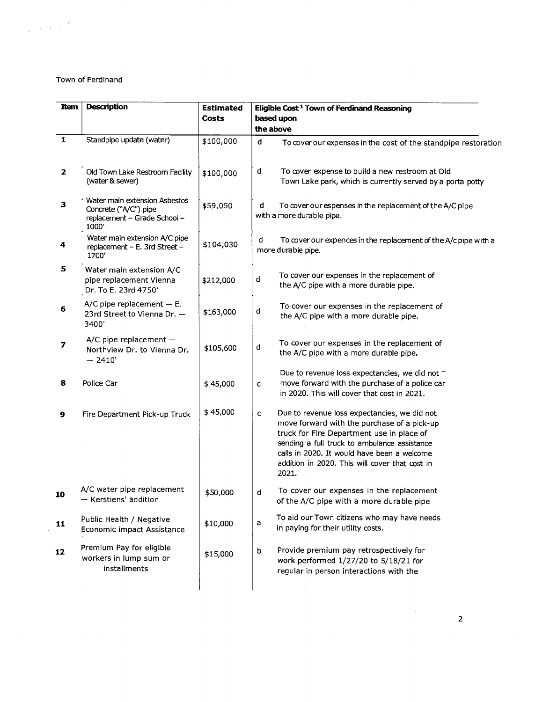## Town of Ferdinand

 $\label{eq:2.1} \frac{d}{dt} = \frac{1}{2} \left( \frac{d}{dt} \right)^2 \frac{d\theta}{dt}$ 

| Item                    | <b>Description</b>                                                                             | <b>Estimated</b><br>Costs | Eligible Cost <sup>1</sup> Town of Ferdinand Reasoning<br>based upon<br>the above                                                                                                                                                                                                                                  |
|-------------------------|------------------------------------------------------------------------------------------------|---------------------------|--------------------------------------------------------------------------------------------------------------------------------------------------------------------------------------------------------------------------------------------------------------------------------------------------------------------|
| $\overline{\mathbf{1}}$ | Standpipe update (water)                                                                       | \$100,000                 | d<br>To cover our expenses in the cost of the standpipe restoration                                                                                                                                                                                                                                                |
| $\mathbf{2}$            | Old Town Lake Restroom Facility<br>(water & sewer)                                             | \$100,000                 | d<br>To cover expense to build a new restroom at Old<br>Town Lake park, which is currently served by a porta potty                                                                                                                                                                                                 |
| ${\bf 3}$               | Water main extension Asbestos<br>Concrete ("A/C") pipe<br>replacement - Grade School -<br>1000 | \$59,050                  | d<br>To cover our espenses in the replacement of the A/C pipe<br>with a more durable pipe.                                                                                                                                                                                                                         |
| 4                       | Water main extension A/C pipe<br>replacement - E. 3rd Street -<br>1700'                        | \$104,030                 | d<br>To cover our expences in the replacement of the A/c pipe with a<br>more durable pipe.                                                                                                                                                                                                                         |
| 5                       | Water main extension A/C<br>pipe replacement Vienna<br>Dr. To E. 23rd 4750'                    | \$212,000                 | To cover our expenses in the replacement of<br>d<br>the A/C pipe with a more durable pipe.                                                                                                                                                                                                                         |
| 6                       | $A/C$ pipe replacement $- E$ .<br>23rd Street to Vienna Dr. -<br>3400                          | \$163,000                 | To cover our expenses in the replacement of<br>d<br>the A/C pipe with a more durable pipe.                                                                                                                                                                                                                         |
| 7                       | $A/C$ pipe replacement $-$<br>Northview Dr. to Vienna Dr.<br>$-2410'$                          | \$105,600                 | To cover our expenses in the replacement of<br>d<br>the A/C pipe with a more durable pipe.                                                                                                                                                                                                                         |
| 8                       | Police Car                                                                                     | \$45,000                  | Due to revenue loss expectancies, we did not -<br>move forward with the purchase of a police car<br>c<br>in 2020. This will cover that cost in 2021.                                                                                                                                                               |
| 9                       | Fire Department Pick-up Truck                                                                  | \$45,000                  | Due to revenue loss expectancies, we did not<br>$\mathsf{C}$<br>move forward with the purchase of a pick-up<br>truck for Fire Department use in place of<br>sending a full truck to ambulance assistance<br>calls in 2020. It would have been a welcome<br>addition in 2020. This will cover that cost in<br>2021. |
| 10                      | A/C water pipe replacement<br>- Kerstiens' addition                                            | \$50,000                  | To cover our expenses in the replacement<br>d<br>of the A/C pipe with a more durable pipe                                                                                                                                                                                                                          |
| 11                      | Public Health / Negative<br>Economic impact Assistance                                         | \$10,000                  | To aid our Town citizens who may have needs<br>a<br>in paying for their utility costs.                                                                                                                                                                                                                             |
| 12                      | Premium Pay for eligible<br>workers in lump sum or<br>installments                             | \$15,000                  | Provide premium pay retrospectively for<br>b<br>work performed 1/27/20 to 5/18/21 for<br>regular in person interactions with the                                                                                                                                                                                   |
|                         |                                                                                                |                           |                                                                                                                                                                                                                                                                                                                    |